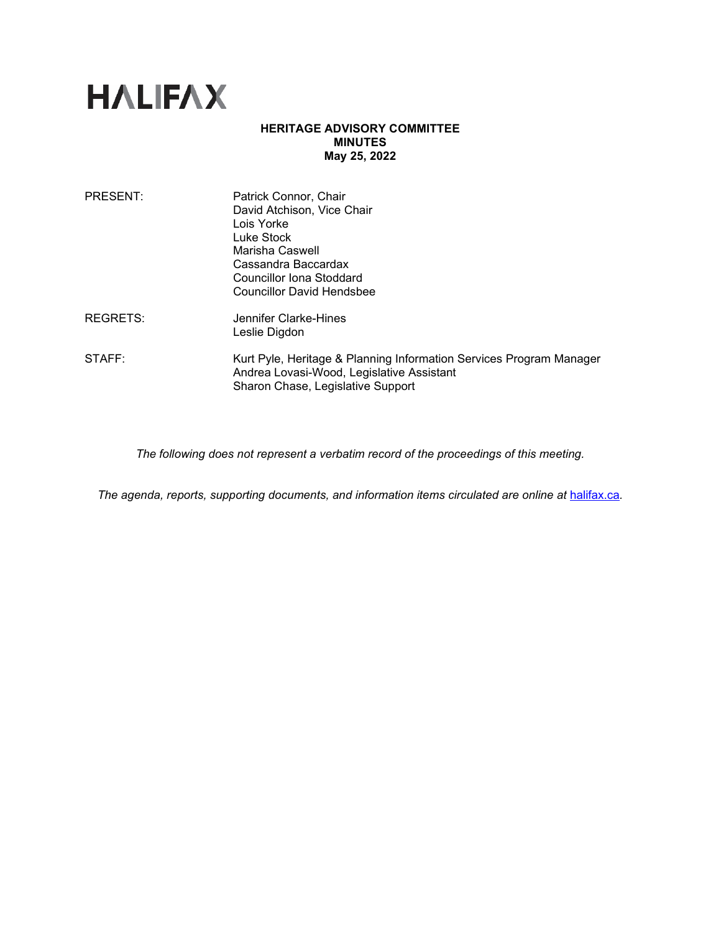

## **HERITAGE ADVISORY COMMITTEE MINUTES May 25, 2022**

| <b>PRESENT:</b> | Patrick Connor, Chair<br>David Atchison, Vice Chair<br>Lois Yorke<br>Luke Stock<br>Marisha Caswell<br>Cassandra Baccardax<br>Councillor Iona Stoddard<br><b>Councillor David Hendsbee</b> |
|-----------------|-------------------------------------------------------------------------------------------------------------------------------------------------------------------------------------------|
| <b>REGRETS:</b> | Jennifer Clarke-Hines<br>Leslie Digdon                                                                                                                                                    |
| STAFF:          | Kurt Pyle, Heritage & Planning Information Services Program Manager<br>Andrea Lovasi-Wood, Legislative Assistant<br>Sharon Chase, Legislative Support                                     |

*The following does not represent a verbatim record of the proceedings of this meeting.*

*The agenda, reports, supporting documents, and information items circulated are online at [halifax.ca](http://www.halifax.ca/).*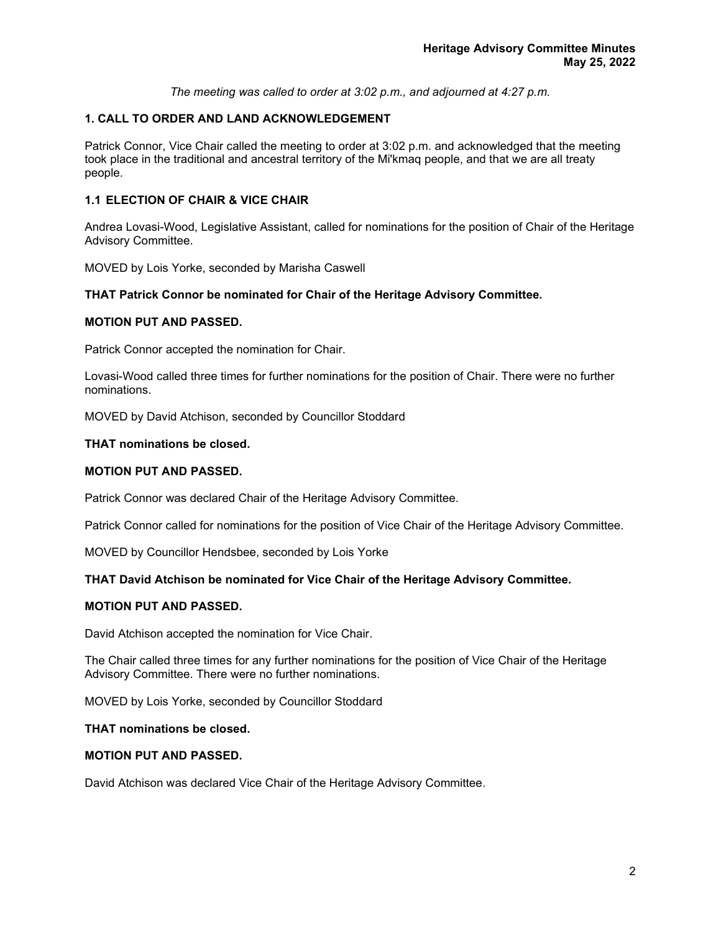*The meeting was called to order at 3:02 p.m., and adjourned at 4:27 p.m.*

# **1. CALL TO ORDER AND LAND ACKNOWLEDGEMENT**

Patrick Connor, Vice Chair called the meeting to order at 3:02 p.m. and acknowledged that the meeting took place in the traditional and ancestral territory of the Mi'kmaq people, and that we are all treaty people.

## **1.1 ELECTION OF CHAIR & VICE CHAIR**

Andrea Lovasi-Wood, Legislative Assistant, called for nominations for the position of Chair of the Heritage Advisory Committee.

MOVED by Lois Yorke, seconded by Marisha Caswell

## **THAT Patrick Connor be nominated for Chair of the Heritage Advisory Committee.**

## **MOTION PUT AND PASSED.**

Patrick Connor accepted the nomination for Chair.

Lovasi-Wood called three times for further nominations for the position of Chair. There were no further nominations.

MOVED by David Atchison, seconded by Councillor Stoddard

## **THAT nominations be closed.**

## **MOTION PUT AND PASSED.**

Patrick Connor was declared Chair of the Heritage Advisory Committee.

Patrick Connor called for nominations for the position of Vice Chair of the Heritage Advisory Committee.

MOVED by Councillor Hendsbee, seconded by Lois Yorke

## **THAT David Atchison be nominated for Vice Chair of the Heritage Advisory Committee.**

## **MOTION PUT AND PASSED.**

David Atchison accepted the nomination for Vice Chair.

The Chair called three times for any further nominations for the position of Vice Chair of the Heritage Advisory Committee. There were no further nominations.

MOVED by Lois Yorke, seconded by Councillor Stoddard

## **THAT nominations be closed.**

## **MOTION PUT AND PASSED.**

David Atchison was declared Vice Chair of the Heritage Advisory Committee.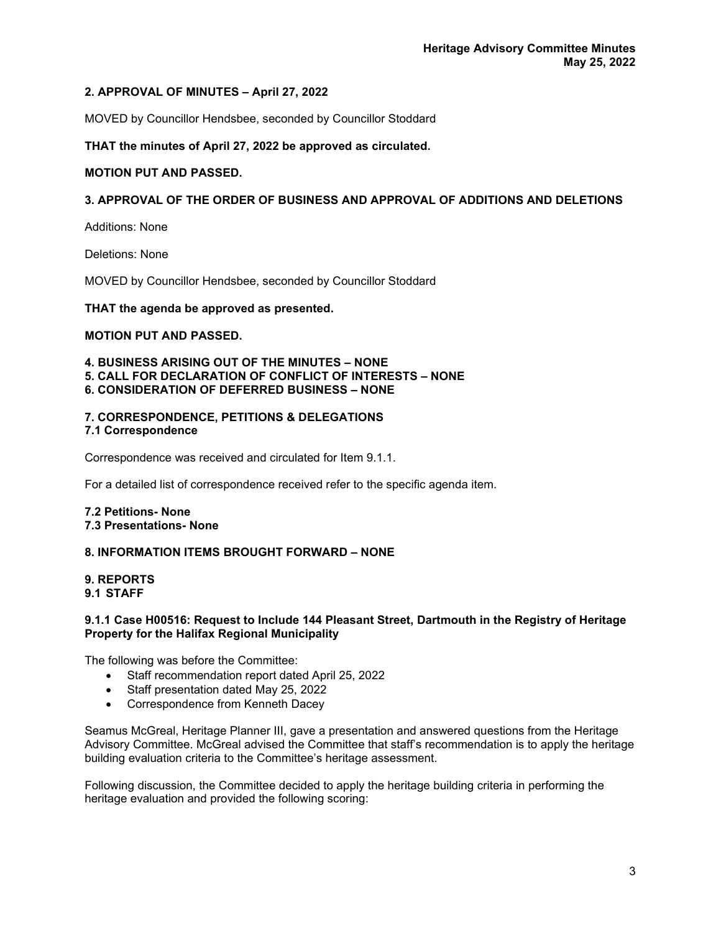# **2. APPROVAL OF MINUTES – April 27, 2022**

MOVED by Councillor Hendsbee, seconded by Councillor Stoddard

**THAT the minutes of April 27, 2022 be approved as circulated.**

## **MOTION PUT AND PASSED.**

## **3. APPROVAL OF THE ORDER OF BUSINESS AND APPROVAL OF ADDITIONS AND DELETIONS**

Additions: None

Deletions: None

MOVED by Councillor Hendsbee, seconded by Councillor Stoddard

#### **THAT the agenda be approved as presented.**

### **MOTION PUT AND PASSED.**

**4. BUSINESS ARISING OUT OF THE MINUTES – NONE 5. CALL FOR DECLARATION OF CONFLICT OF INTERESTS – NONE 6. CONSIDERATION OF DEFERRED BUSINESS – NONE**

## **7. CORRESPONDENCE, PETITIONS & DELEGATIONS 7.1 Correspondence**

Correspondence was received and circulated for Item 9.1.1.

For a detailed list of correspondence received refer to the specific agenda item.

### **7.2 Petitions- None 7.3 Presentations- None**

## **8. INFORMATION ITEMS BROUGHT FORWARD – NONE**

#### **9. REPORTS 9.1 STAFF**

### **9.1.1 Case H00516: Request to Include 144 Pleasant Street, Dartmouth in the Registry of Heritage Property for the Halifax Regional Municipality**

The following was before the Committee:

- Staff recommendation report dated April 25, 2022
- Staff presentation dated May 25, 2022
- Correspondence from Kenneth Dacey

Seamus McGreal, Heritage Planner III, gave a presentation and answered questions from the Heritage Advisory Committee. McGreal advised the Committee that staff's recommendation is to apply the heritage building evaluation criteria to the Committee's heritage assessment.

Following discussion, the Committee decided to apply the heritage building criteria in performing the heritage evaluation and provided the following scoring: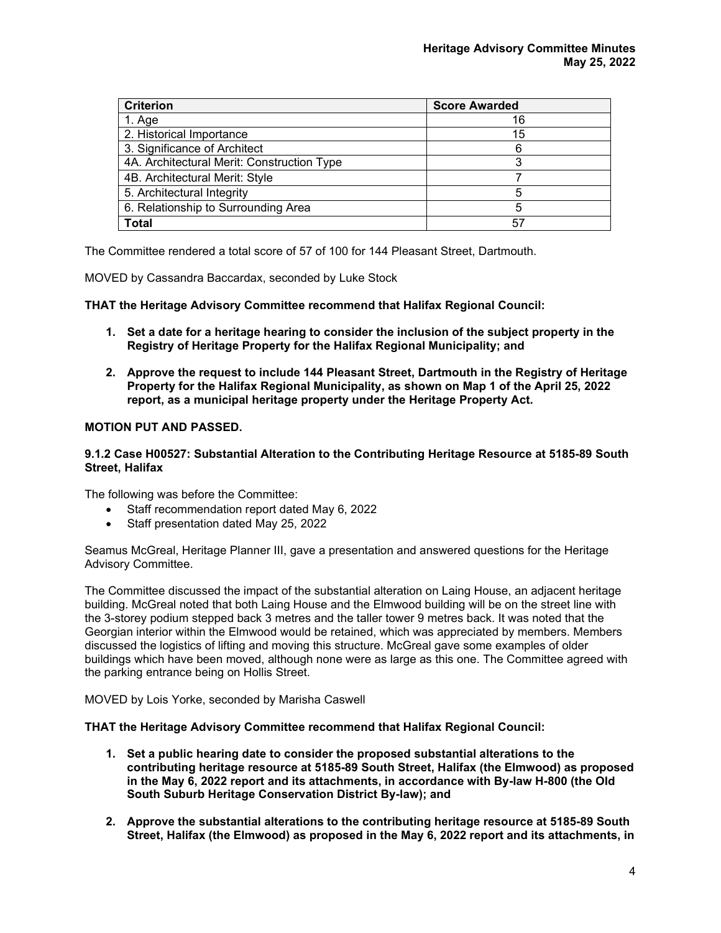| <b>Criterion</b>                           | <b>Score Awarded</b> |
|--------------------------------------------|----------------------|
| 1. Age                                     | 16                   |
| 2. Historical Importance                   | 15                   |
| 3. Significance of Architect               | 6                    |
| 4A. Architectural Merit: Construction Type |                      |
| 4B. Architectural Merit: Style             |                      |
| 5. Architectural Integrity                 |                      |
| 6. Relationship to Surrounding Area        | 5                    |
| <b>Total</b>                               | 57                   |

The Committee rendered a total score of 57 of 100 for 144 Pleasant Street, Dartmouth.

MOVED by Cassandra Baccardax, seconded by Luke Stock

**THAT the Heritage Advisory Committee recommend that Halifax Regional Council:**

- **1. Set a date for a heritage hearing to consider the inclusion of the subject property in the Registry of Heritage Property for the Halifax Regional Municipality; and**
- **2. Approve the request to include 144 Pleasant Street, Dartmouth in the Registry of Heritage Property for the Halifax Regional Municipality, as shown on Map 1 of the April 25, 2022 report, as a municipal heritage property under the Heritage Property Act.**

# **MOTION PUT AND PASSED.**

### **9.1.2 Case H00527: Substantial Alteration to the Contributing Heritage Resource at 5185-89 South Street, Halifax**

The following was before the Committee:

- Staff recommendation report dated May 6, 2022
- Staff presentation dated May 25, 2022

Seamus McGreal, Heritage Planner III, gave a presentation and answered questions for the Heritage Advisory Committee.

The Committee discussed the impact of the substantial alteration on Laing House, an adjacent heritage building. McGreal noted that both Laing House and the Elmwood building will be on the street line with the 3-storey podium stepped back 3 metres and the taller tower 9 metres back. It was noted that the Georgian interior within the Elmwood would be retained, which was appreciated by members. Members discussed the logistics of lifting and moving this structure. McGreal gave some examples of older buildings which have been moved, although none were as large as this one. The Committee agreed with the parking entrance being on Hollis Street.

MOVED by Lois Yorke, seconded by Marisha Caswell

**THAT the Heritage Advisory Committee recommend that Halifax Regional Council:**

- **1. Set a public hearing date to consider the proposed substantial alterations to the contributing heritage resource at 5185-89 South Street, Halifax (the Elmwood) as proposed in the May 6, 2022 report and its attachments, in accordance with By-law H-800 (the Old South Suburb Heritage Conservation District By-law); and**
- **2. Approve the substantial alterations to the contributing heritage resource at 5185-89 South Street, Halifax (the Elmwood) as proposed in the May 6, 2022 report and its attachments, in**